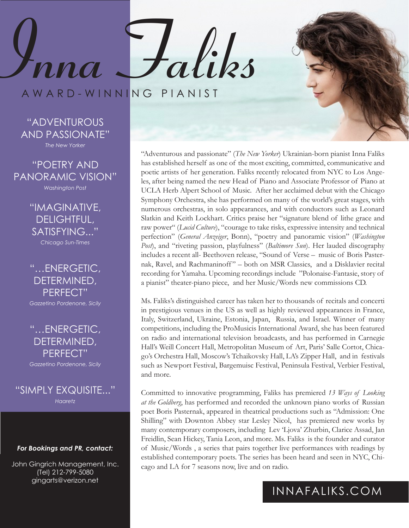AWARD-WINNING PIANIST

**Inna Faliks**

"ADVENTUROUS AND PASSIONATE"

*The New Yorker* 

"POETRY AND PANORAMIC VISION" *Washington Post*

> "IMAGINATIVE, DELIGHTFUL, SATISFYING..." *Chicago Sun-Times*

"…ENERGETIC, DETERMINED, PERFECT"

*Gazzetino Pordenone, Sicily*

### "…ENERGETIC, DETERMINED, PERFECT"

*Gazzetino Pordenone, Sicily*

"SIMPLY EXQUISITE..." *Haaretz*

#### *For Bookings and PR, contact:*

John Gingrich Management, Inc. (Tel) 212-799-5080 gingarts@verizon.net

"Adventurous and passionate" (*The New Yorker*) Ukrainian-born pianist Inna Faliks has established herself as one of the most exciting, committed, communicative and poetic artists of her generation. Faliks recently relocated from NYC to Los Angeles, after being named the new Head of Piano and Associate Professor of Piano at UCLA Herb Alpert School of Music. After her acclaimed debut with the Chicago Symphony Orchestra, she has performed on many of the world's great stages, with numerous orchestras, in solo appearances, and with conductors such as Leonard Slatkin and Keith Lockhart. Critics praise her "signature blend of lithe grace and raw power" (*Lucid Culture*), "courage to take risks, expressive intensity and technical perfection" (*General Anzeiger*, Bonn), "poetry and panoramic vision" (*Washington Post*), and "riveting passion, playfulness" (*Baltimore Sun*). Her lauded discography includes a recent all- Beethoven release, "Sound of Verse – music of Boris Pasternak, Ravel, and Rachmaninoff " – both on MSR Classics, and a Disklavier recital recording for Yamaha. Upcoming recordings include "Polonaise-Fantasie, story of a pianist" theater-piano piece, and her Music/Words new commissions CD.

Ms. Faliks's distinguished career has taken her to thousands of recitals and concerti in prestigious venues in the US as well as highly reviewed appearances in France, Italy, Switzerland, Ukraine, Estonia, Japan, Russia, and Israel. Winner of many competitions, including the ProMusicis International Award, she has been featured on radio and international television broadcasts, and has performed in Carnegie Hall's Weill Concert Hall, Metropolitan Museum of Art, Paris' Salle Cortot, Chicago's Orchestra Hall, Moscow's Tchaikovsky Hall, LA's Zipper Hall, and in festivals such as Newport Festival, Bargemuisc Festival, Peninsula Festival, Verbier Festival, and more.

Committed to innovative programming, Faliks has premiered *13 Ways of Looking at the Goldberg*, has performed and recorded the unknown piano works of Russian poet Boris Pasternak, appeared in theatrical productions such as "Admission: One Shilling" with Downton Abbey star Lesley Nicol, has premiered new works by many contemporary composers, including Lev 'Ljova' Zhurbin, Clarice Assad, Jan Freidlin, Sean Hickey, Tania Leon, and more. Ms. Faliks is the founder and curator of Music/Words , a series that pairs together live performances with readings by established contemporary poets. The series has been heard and seen in NYC, Chicago and LA for 7 seasons now, live and on radio.

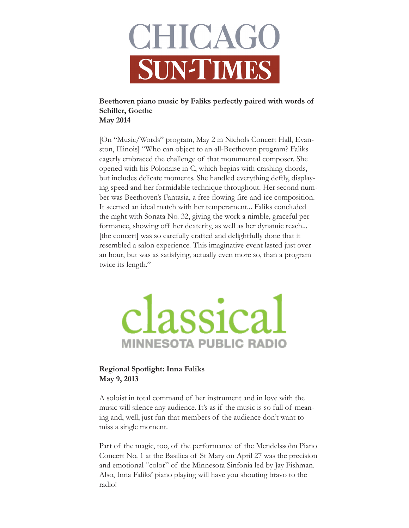

### **Beethoven piano music by Faliks perfectly paired with words of Schiller, Goethe May 2014**

[On "Music/Words" program, May 2 in Nichols Concert Hall, Evanston, Illinois] "Who can object to an all-Beethoven program? Faliks eagerly embraced the challenge of that monumental composer. She opened with his Polonaise in C, which begins with crashing chords, but includes delicate moments. She handled everything deftly, displaying speed and her formidable technique throughout. Her second number was Beethoven's Fantasia, a free flowing fire-and-ice composition. It seemed an ideal match with her temperament... Faliks concluded the night with Sonata No. 32, giving the work a nimble, graceful performance, showing off her dexterity, as well as her dynamic reach... [the concert] was so carefully crafted and delightfully done that it resembled a salon experience. This imaginative event lasted just over an hour, but was as satisfying, actually even more so, than a program twice its length."

# lassica **MINNESOTA PUBLIC RADIO**

#### **Regional Spotlight: Inna Faliks May 9, 2013**

A soloist in total command of her instrument and in love with the music will silence any audience. It's as if the music is so full of meaning and, well, just fun that members of the audience don't want to miss a single moment.

Part of the magic, too, of the performance of the Mendelssohn Piano Concert No. 1 at the Basilica of St Mary on April 27 was the precision and emotional "color" of the Minnesota Sinfonia led by Jay Fishman. Also, Inna Faliks' piano playing will have you shouting bravo to the radio!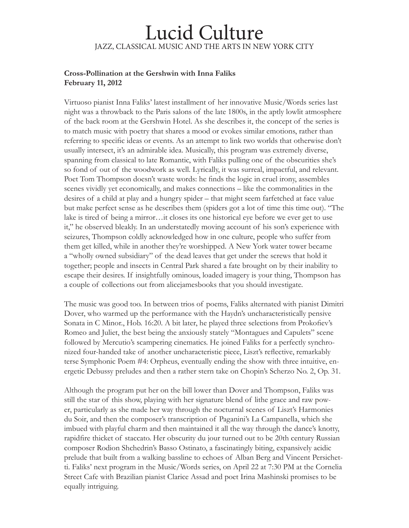## Lucid Culture JAZZ, CLASSICAL MUSIC AND THE ARTS IN NEW YORK CITY

#### **Cross-Pollination at the Gershwin with Inna Faliks February 11, 2012**

Virtuoso pianist Inna Faliks' latest installment of her innovative Music/Words series last night was a throwback to the Paris salons of the late 1800s, in the aptly lowlit atmosphere of the back room at the Gershwin Hotel. As she describes it, the concept of the series is to match music with poetry that shares a mood or evokes similar emotions, rather than referring to specific ideas or events. As an attempt to link two worlds that otherwise don't usually intersect, it's an admirable idea. Musically, this program was extremely diverse, spanning from classical to late Romantic, with Faliks pulling one of the obscurities she's so fond of out of the woodwork as well. Lyrically, it was surreal, impactful, and relevant. Poet Tom Thompson doesn't waste words: he finds the logic in cruel irony, assembles scenes vividly yet economically, and makes connections – like the commonalities in the desires of a child at play and a hungry spider – that might seem farfetched at face value but make perfect sense as he describes them (spiders got a lot of time this time out). "The lake is tired of being a mirror…it closes its one historical eye before we ever get to use it," he observed bleakly. In an understatedly moving account of his son's experience with seizures, Thompson coldly acknowledged how in one culture, people who suffer from them get killed, while in another they're worshipped. A New York water tower became a "wholly owned subsidiary" of the dead leaves that get under the screws that hold it together; people and insects in Central Park shared a fate brought on by their inability to escape their desires. If insightfully ominous, loaded imagery is your thing, Thompson has a couple of collections out from alicejamesbooks that you should investigate.

The music was good too. In between trios of poems, Faliks alternated with pianist Dimitri Dover, who warmed up the performance with the Haydn's uncharacteristically pensive Sonata in C Minor., Hob. 16:20. A bit later, he played three selections from Prokofiev's Romeo and Juliet, the best being the anxiously stately "Montagues and Capulets" scene followed by Mercutio's scampering cinematics. He joined Faliks for a perfectly synchronized four-handed take of another uncharacteristic piece, Liszt's reflective, remarkably terse Symphonic Poem #4: Orpheus, eventually ending the show with three intuitive, energetic Debussy preludes and then a rather stern take on Chopin's Scherzo No. 2, Op. 31.

Although the program put her on the bill lower than Dover and Thompson, Faliks was still the star of this show, playing with her signature blend of lithe grace and raw power, particularly as she made her way through the nocturnal scenes of Liszt's Harmonies du Soir, and then the composer's transcription of Paganini's La Campanella, which she imbued with playful charm and then maintained it all the way through the dance's knotty, rapidfire thicket of staccato. Her obscurity du jour turned out to be 20th century Russian composer Rodion Shchedrin's Basso Ostinato, a fascinatingly biting, expansively acidic prelude that built from a walking bassline to echoes of Alban Berg and Vincent Persichetti. Faliks' next program in the Music/Words series, on April 22 at 7:30 PM at the Cornelia Street Cafe with Brazilian pianist Clarice Assad and poet Irina Mashinski promises to be equally intriguing.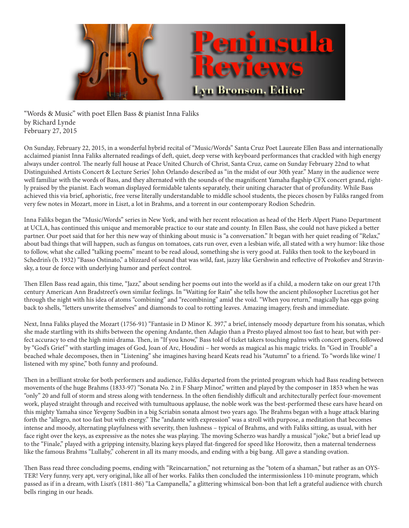

"Words & Music" with poet Ellen Bass & pianist Inna Faliks by Richard Lynde February 27, 2015

On Sunday, February 22, 2015, in a wonderful hybrid recital of "Music/Words" Santa Cruz Poet Laureate Ellen Bass and internationally acclaimed pianist Inna Faliks alternated readings of deft, quiet, deep verse with keyboard performances that crackled with high energy always under control. The nearly full house at Peace United Church of Christ, Santa Cruz, came on Sunday February 22nd to what Distinguished Artists Concert & Lecture Series' John Orlando described as "in the midst of our 30th year." Many in the audience were well familiar with the words of Bass, and they alternated with the sounds of the magnificent Yamaha flagship CFX concert grand, rightly praised by the pianist. Each woman displayed formidable talents separately, their uniting character that of profundity. While Bass achieved this via brief, aphoristic, free verse literally understandable to middle school students, the pieces chosen by Faliks ranged from very few notes in Mozart, more in Liszt, a lot in Brahms, and a torrent in our contemporary Rodion Schedrin.

Inna Faliks began the "Music/Words" series in New York, and with her recent relocation as head of the Herb Alpert Piano Department at UCLA, has continued this unique and memorable practice to our state and county. In Ellen Bass, she could not have picked a better partner. Our poet said that for her this new way of thinking about music is "a conversation." It began with her quiet reading of "Relax," about bad things that will happen, such as fungus on tomatoes, cats run over, even a lesbian wife, all stated with a wry humor: like those to follow, what she called "talking poems" meant to be read aloud, something she is very good at. Faliks then took to the keyboard in Schedrin's (b. 1932) "Basso Ostinato," a blizzard of sound that was wild, fast, jazzy like Gershwin and reflective of Prokofiev and Stravinsky, a tour de force with underlying humor and perfect control.

Then Ellen Bass read again, this time, "Jazz," about sending her poems out into the world as if a child, a modern take on our great 17th century American Ann Bradstreet's own similar feelings. In "Waiting for Rain" she tells how the ancient philosopher Lucretius got her through the night with his idea of atoms "combining" and "recombining" amid the void. "When you return," magically has eggs going back to shells, "letters unwrite themselves" and diamonds to coal to rotting leaves. Amazing imagery, fresh and immediate.

Next, Inna Faliks played the Mozart (1756-91) "Fantasie in D Minor K. 397," a brief, intensely moody departure from his sonatas, which she made startling with its shifts between the opening Andante, then Adagio than a Presto played almost too fast to hear, but with perfect accuracy to end the high mini drama. Then, in "If you know," Bass told of ticket takers touching palms with concert goers, followed by "God's Grief " with startling images of God, Joan of Arc, Houdini – her words as magical as his magic tricks. In "God in Trouble" a beached whale decomposes, then in "Listening" she imagines having heard Keats read his "Autumn" to a friend. To "words like wine/ I listened with my spine," both funny and profound.

Then in a brilliant stroke for both performers and audience, Faliks departed from the printed program which had Bass reading between movements of the huge Brahms (1833-97) "Sonata No. 2 in F Sharp Minor," written and played by the composer in 1853 when he was "only" 20 and full of storm and stress along with tenderness. In the often fiendishly difficult and architecturally perfect four-movement work, played straight through and received with tumultuous applause, the noble work was the best-performed these ears have heard on this mighty Yamaha since Yevgeny Sudbin in a big Scriabin sonata almost two years ago. The Brahms began with a huge attack blaring forth the "allegro, not too fast but with energy." The "andante with expression" was a stroll with purpose, a meditation that becomes intense and moody, alternating playfulness with severity, then lushness – typical of Brahms, and with Faliks sitting, as usual, with her face right over the keys, as expressive as the notes she was playing. The moving Scherzo was hardly a musical "joke," but a brief lead up to the "Finale," played with a gripping intensity, blazing keys played flat-fingered for speed like Horowitz, then a maternal tenderness like the famous Brahms "Lullaby," coherent in all its many moods, and ending with a big bang. All gave a standing ovation.

Then Bass read three concluding poems, ending with "Reincarnation," not returning as the "totem of a shaman," but rather as an OYS-TER! Very funny, very apt, very original, like all of her works. Faliks then concluded the intermissionless 110-minute program, which passed as if in a dream, with Liszt's (1811-86) "La Campanella," a glittering whimsical bon-bon that left a grateful audience with church bells ringing in our heads.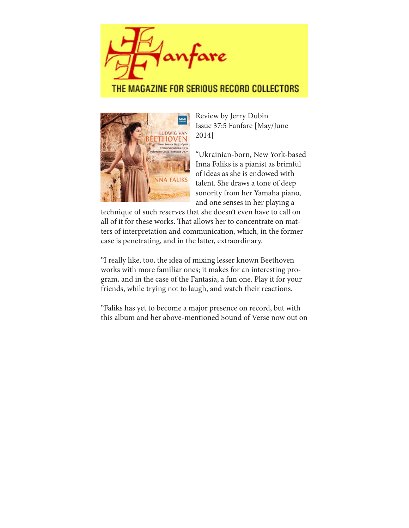

### THE MAGAZINE FOR SERIOUS RECORD COLLECTORS



Review by Jerry Dubin Issue 37:5 Fanfare [May/June 2014]

"Ukrainian-born, New York-based Inna Faliks is a pianist as brimful of ideas as she is endowed with talent. She draws a tone of deep sonority from her Yamaha piano, and one senses in her playing a

technique of such reserves that she doesn't even have to call on all of it for these works. That allows her to concentrate on matters of interpretation and communication, which, in the former case is penetrating, and in the latter, extraordinary.

"I really like, too, the idea of mixing lesser known Beethoven works with more familiar ones; it makes for an interesting program, and in the case of the Fantasia, a fun one. Play it for your friends, while trying not to laugh, and watch their reactions.

"Faliks has yet to become a major presence on record, but with this album and her above-mentioned Sound of Verse now out on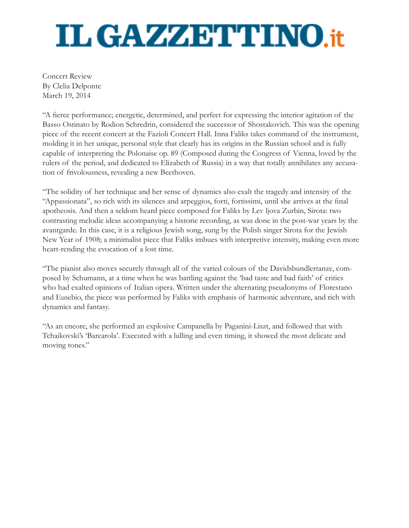# **IL GAZZETTINO.it**

Concert Review By Clelia Delponte March 19, 2014

"A fierce performance; energetic, determined, and perfect for expressing the interior agitation of the Basso Ostinato by Rodion Schredrin, considered the successor of Shostakovich. This was the opening piece of the recent concert at the Fazioli Concert Hall. Inna Faliks takes command of the instrument, molding it in her unique, personal style that clearly has its origins in the Russian school and is fully capable of interpreting the Polonaise op. 89 (Composed during the Congress of Vienna, loved by the rulers of the period, and dedicated to Elizabeth of Russia) in a way that totally annihilates any accusation of frivolousness, revealing a new Beethoven.

"The solidity of her technique and her sense of dynamics also exalt the tragedy and intensity of the "Appassionata", so rich with its silences and arpeggios, forti, fortissimi, until she arrives at the final apotheosis. And then a seldom heard piece composed for Faliks by Lev ljova Zurbin, Sirota: two contrasting melodic ideas accompanying a historic recording, as was done in the post-war years by the avantgarde. In this case, it is a religious Jewish song, sung by the Polish singer Sirota for the Jewish New Year of 1908; a minimalist piece that Faliks imbues with interpretive intensity, making even more heart-rending the evocation of a lost time.

"The pianist also moves securely through all of the varied colours of the Davidsbundlertanze, composed by Schumann, at a time when he was battling against the 'bad taste and bad faith' of critics who had exalted opinions of Italian opera. Written under the alternating pseudonyms of Florestano and Eusebio, the piece was performed by Faliks with emphasis of harmonic adventure, and rich with dynamics and fantasy.

"As an encore, she performed an explosive Campanella by Paganini-Liszt, and followed that with Tchaikovski's 'Barcarola'. Executed with a lulling and even timing, it showed the most delicate and moving tones."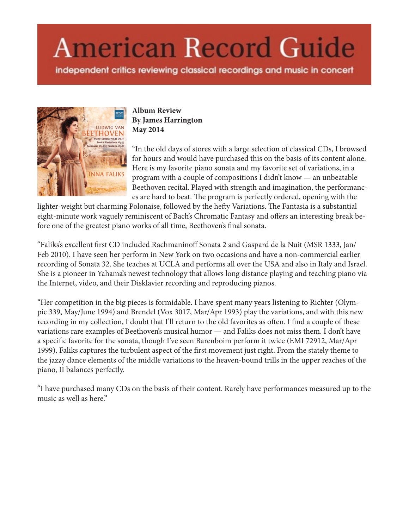# **American Record Guide**

independent critics reviewing classical recordings and music in concert



**Album Review By James Harrington May 2014**

"In the old days of stores with a large selection of classical CDs, I browsed for hours and would have purchased this on the basis of its content alone. Here is my favorite piano sonata and my favorite set of variations, in a program with a couple of compositions I didn't know — an unbeatable Beethoven recital. Played with strength and imagination, the performances are hard to beat. The program is perfectly ordered, opening with the

lighter-weight but charming Polonaise, followed by the hefty Variations. The Fantasia is a substantial eight-minute work vaguely reminiscent of Bach's Chromatic Fantasy and offers an interesting break before one of the greatest piano works of all time, Beethoven's final sonata.

"Faliks's excellent first CD included Rachmaninoff Sonata 2 and Gaspard de la Nuit (MSR 1333, Jan/ Feb 2010). I have seen her perform in New York on two occasions and have a non-commercial earlier recording of Sonata 32. She teaches at UCLA and performs all over the USA and also in Italy and Israel. She is a pioneer in Yahama's newest technology that allows long distance playing and teaching piano via the Internet, video, and their Disklavier recording and reproducing pianos.

"Her competition in the big pieces is formidable. I have spent many years listening to Richter (Olympic 339, May/June 1994) and Brendel (Vox 3017, Mar/Apr 1993) play the variations, and with this new recording in my collection, I doubt that I'll return to the old favorites as often. I find a couple of these variations rare examples of Beethoven's musical humor — and Faliks does not miss them. I don't have a specific favorite for the sonata, though I've seen Barenboim perform it twice (EMI 72912, Mar/Apr 1999). Faliks captures the turbulent aspect of the first movement just right. From the stately theme to the jazzy dance elements of the middle variations to the heaven-bound trills in the upper reaches of the piano, II balances perfectly.

"I have purchased many CDs on the basis of their content. Rarely have performances measured up to the music as well as here."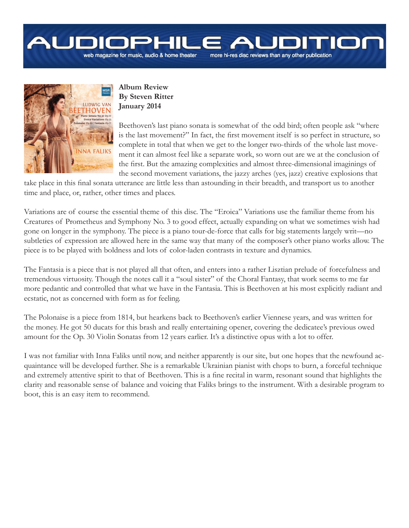# more hi-res disc reviews than any other publication

web magazine for music, audio & home theater



#### **Album Review By Steven Ritter January 2014**

Beethoven's last piano sonata is somewhat of the odd bird; often people ask "where is the last movement?" In fact, the first movement itself is so perfect in structure, so complete in total that when we get to the longer two-thirds of the whole last movement it can almost feel like a separate work, so worn out are we at the conclusion of the first. But the amazing complexities and almost three-dimensional imaginings of the second movement variations, the jazzy arches (yes, jazz) creative explosions that

take place in this final sonata utterance are little less than astounding in their breadth, and transport us to another time and place, or, rather, other times and places.

Variations are of course the essential theme of this disc. The "Eroica" Variations use the familiar theme from his Creatures of Prometheus and Symphony No. 3 to good effect, actually expanding on what we sometimes wish had gone on longer in the symphony. The piece is a piano tour-de-force that calls for big statements largely writ—no subtleties of expression are allowed here in the same way that many of the composer's other piano works allow. The piece is to be played with boldness and lots of color-laden contrasts in texture and dynamics.

The Fantasia is a piece that is not played all that often, and enters into a rather Lisztian prelude of forcefulness and tremendous virtuosity. Though the notes call it a "soul sister" of the Choral Fantasy, that work seems to me far more pedantic and controlled that what we have in the Fantasia. This is Beethoven at his most explicitly radiant and ecstatic, not as concerned with form as for feeling.

The Polonaise is a piece from 1814, but hearkens back to Beethoven's earlier Viennese years, and was written for the money. He got 50 ducats for this brash and really entertaining opener, covering the dedicatee's previous owed amount for the Op. 30 Violin Sonatas from 12 years earlier. It's a distinctive opus with a lot to offer.

I was not familiar with Inna Faliks until now, and neither apparently is our site, but one hopes that the newfound acquaintance will be developed further. She is a remarkable Ukrainian pianist with chops to burn, a forceful technique and extremely attentive spirit to that of Beethoven. This is a fine recital in warm, resonant sound that highlights the clarity and reasonable sense of balance and voicing that Faliks brings to the instrument. With a desirable program to boot, this is an easy item to recommend.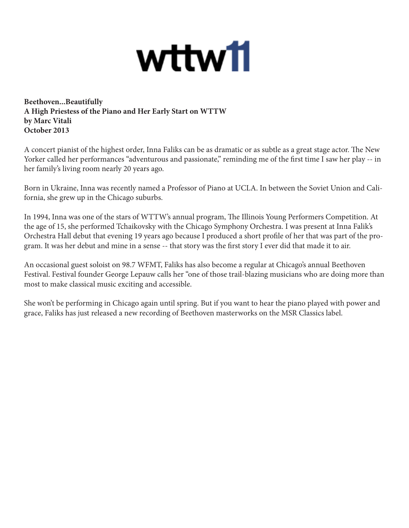# wttw11

**Beethoven...Beautifully A High Priestess of the Piano and Her Early Start on WTTW by Marc Vitali October 2013**

A concert pianist of the highest order, Inna Faliks can be as dramatic or as subtle as a great stage actor. The New Yorker called her performances "adventurous and passionate," reminding me of the first time I saw her play -- in her family's living room nearly 20 years ago.

Born in Ukraine, Inna was recently named a Professor of Piano at UCLA. In between the Soviet Union and California, she grew up in the Chicago suburbs.

In 1994, Inna was one of the stars of WTTW's annual program, The Illinois Young Performers Competition. At the age of 15, she performed Tchaikovsky with the Chicago Symphony Orchestra. I was present at Inna Falik's Orchestra Hall debut that evening 19 years ago because I produced a short profile of her that was part of the program. It was her debut and mine in a sense -- that story was the first story I ever did that made it to air.

An occasional guest soloist on 98.7 WFMT, Faliks has also become a regular at Chicago's annual Beethoven Festival. Festival founder George Lepauw calls her "one of those trail-blazing musicians who are doing more than most to make classical music exciting and accessible.

She won't be performing in Chicago again until spring. But if you want to hear the piano played with power and grace, Faliks has just released a new recording of Beethoven masterworks on the MSR Classics label.